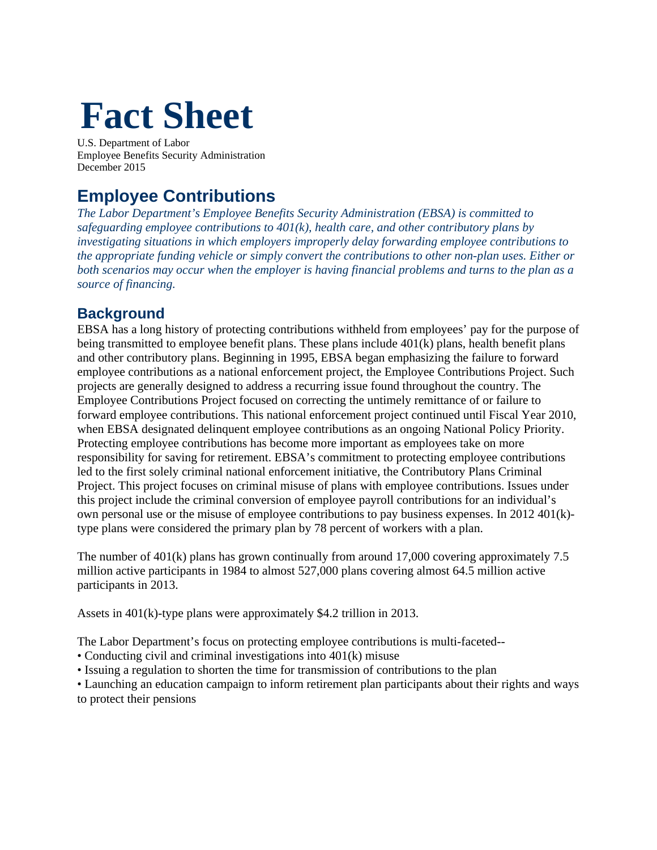# **Fact Sheet**

U.S. Department of Labor Employee Benefits Security Administration December 2015

# **Employee Contributions**

*The Labor Department's Employee Benefits Security Administration (EBSA) is committed to safeguarding employee contributions to 401(k), health care, and other contributory plans by investigating situations in which employers improperly delay forwarding employee contributions to the appropriate funding vehicle or simply convert the contributions to other non-plan uses. Either or both scenarios may occur when the employer is having financial problems and turns to the plan as a source of financing.* 

# **Background**

EBSA has a long history of protecting contributions withheld from employees' pay for the purpose of being transmitted to employee benefit plans. These plans include 401(k) plans, health benefit plans and other contributory plans. Beginning in 1995, EBSA began emphasizing the failure to forward employee contributions as a national enforcement project, the Employee Contributions Project. Such projects are generally designed to address a recurring issue found throughout the country. The Employee Contributions Project focused on correcting the untimely remittance of or failure to forward employee contributions. This national enforcement project continued until Fiscal Year 2010, when EBSA designated delinquent employee contributions as an ongoing National Policy Priority. Protecting employee contributions has become more important as employees take on more responsibility for saving for retirement. EBSA's commitment to protecting employee contributions led to the first solely criminal national enforcement initiative, the Contributory Plans Criminal Project. This project focuses on criminal misuse of plans with employee contributions. Issues under this project include the criminal conversion of employee payroll contributions for an individual's own personal use or the misuse of employee contributions to pay business expenses. In 2012 401(k) type plans were considered the primary plan by 78 percent of workers with a plan.

The number of 401(k) plans has grown continually from around 17,000 covering approximately 7.5 million active participants in 1984 to almost 527,000 plans covering almost 64.5 million active participants in 2013.

Assets in 401(k)-type plans were approximately \$4.2 trillion in 2013.

The Labor Department's focus on protecting employee contributions is multi-faceted--

- Conducting civil and criminal investigations into 401(k) misuse
- Issuing a regulation to shorten the time for transmission of contributions to the plan
- Launching an education campaign to inform retirement plan participants about their rights and ways to protect their pensions